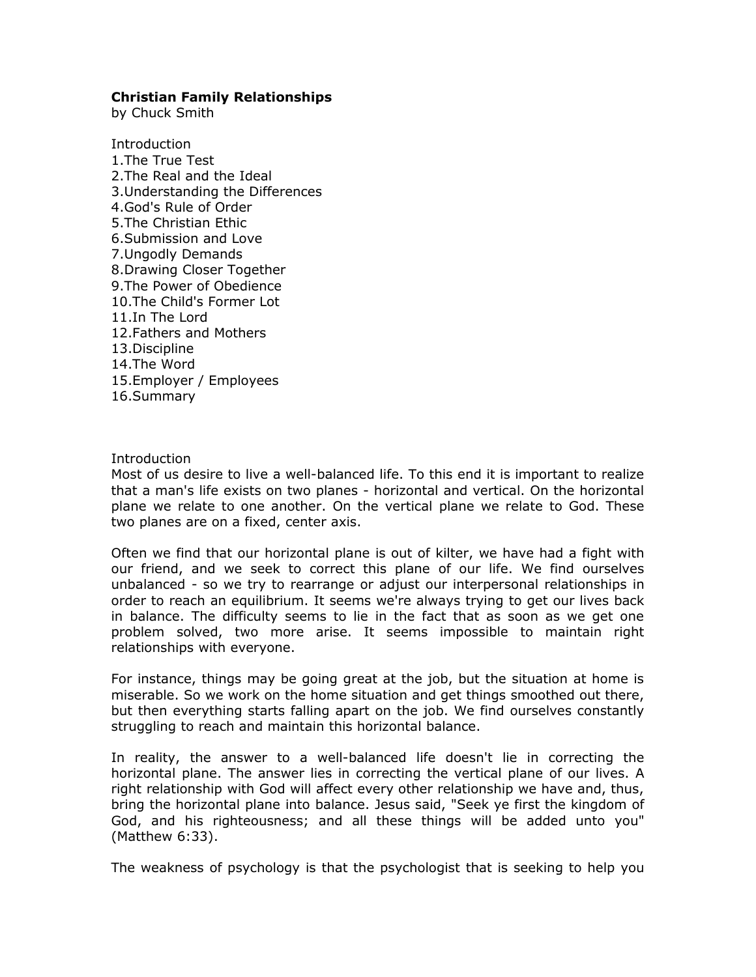# **Christian Family Relationships**

by Chuck Smith

**Introduction** 1.The True Test 2.The Real and the Ideal 3.Understanding the Differences 4.God's Rule of Order 5.The Christian Ethic 6.Submission and Love 7.Ungodly Demands 8.Drawing Closer Together 9.The Power of Obedience 10.The Child's Former Lot 11.In The Lord 12.Fathers and Mothers 13.Discipline 14.The Word 15.Employer / Employees 16.Summary

Introduction

Most of us desire to live a well-balanced life. To this end it is important to realize that a man's life exists on two planes - horizontal and vertical. On the horizontal plane we relate to one another. On the vertical plane we relate to God. These two planes are on a fixed, center axis.

Often we find that our horizontal plane is out of kilter, we have had a fight with our friend, and we seek to correct this plane of our life. We find ourselves unbalanced - so we try to rearrange or adjust our interpersonal relationships in order to reach an equilibrium. It seems we're always trying to get our lives back in balance. The difficulty seems to lie in the fact that as soon as we get one problem solved, two more arise. It seems impossible to maintain right relationships with everyone.

For instance, things may be going great at the job, but the situation at home is miserable. So we work on the home situation and get things smoothed out there, but then everything starts falling apart on the job. We find ourselves constantly struggling to reach and maintain this horizontal balance.

In reality, the answer to a well-balanced life doesn't lie in correcting the horizontal plane. The answer lies in correcting the vertical plane of our lives. A right relationship with God will affect every other relationship we have and, thus, bring the horizontal plane into balance. Jesus said, "Seek ye first the kingdom of God, and his righteousness; and all these things will be added unto you" (Matthew 6:33).

The weakness of psychology is that the psychologist that is seeking to help you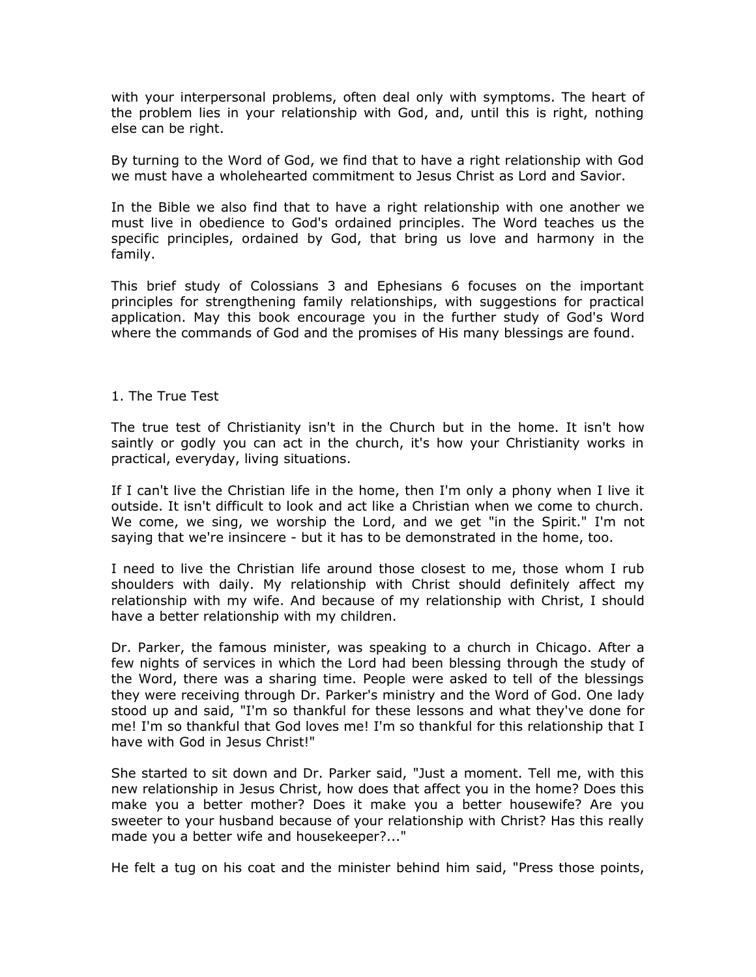with your interpersonal problems, often deal only with symptoms. The heart of the problem lies in your relationship with God, and, until this is right, nothing else can be right.

By turning to the Word of God, we find that to have a right relationship with God we must have a wholehearted commitment to Jesus Christ as Lord and Savior.

In the Bible we also find that to have a right relationship with one another we must live in obedience to God's ordained principles. The Word teaches us the specific principles, ordained by God, that bring us love and harmony in the family.

This brief study of Colossians 3 and Ephesians 6 focuses on the important principles for strengthening family relationships, with suggestions for practical application. May this book encourage you in the further study of God's Word where the commands of God and the promises of His many blessings are found.

### 1. The True Test

The true test of Christianity isn't in the Church but in the home. It isn't how saintly or godly you can act in the church, it's how your Christianity works in practical, everyday, living situations.

If I can't live the Christian life in the home, then I'm only a phony when I live it outside. It isn't difficult to look and act like a Christian when we come to church. We come, we sing, we worship the Lord, and we get "in the Spirit." I'm not saying that we're insincere - but it has to be demonstrated in the home, too.

I need to live the Christian life around those closest to me, those whom I rub shoulders with daily. My relationship with Christ should definitely affect my relationship with my wife. And because of my relationship with Christ, I should have a better relationship with my children.

Dr. Parker, the famous minister, was speaking to a church in Chicago. After a few nights of services in which the Lord had been blessing through the study of the Word, there was a sharing time. People were asked to tell of the blessings they were receiving through Dr. Parker's ministry and the Word of God. One lady stood up and said, "I'm so thankful for these lessons and what they've done for me! I'm so thankful that God loves me! I'm so thankful for this relationship that I have with God in Jesus Christ!"

She started to sit down and Dr. Parker said, "Just a moment. Tell me, with this new relationship in Jesus Christ, how does that affect you in the home? Does this make you a better mother? Does it make you a better housewife? Are you sweeter to your husband because of your relationship with Christ? Has this really made you a better wife and housekeeper?..."

He felt a tug on his coat and the minister behind him said, "Press those points,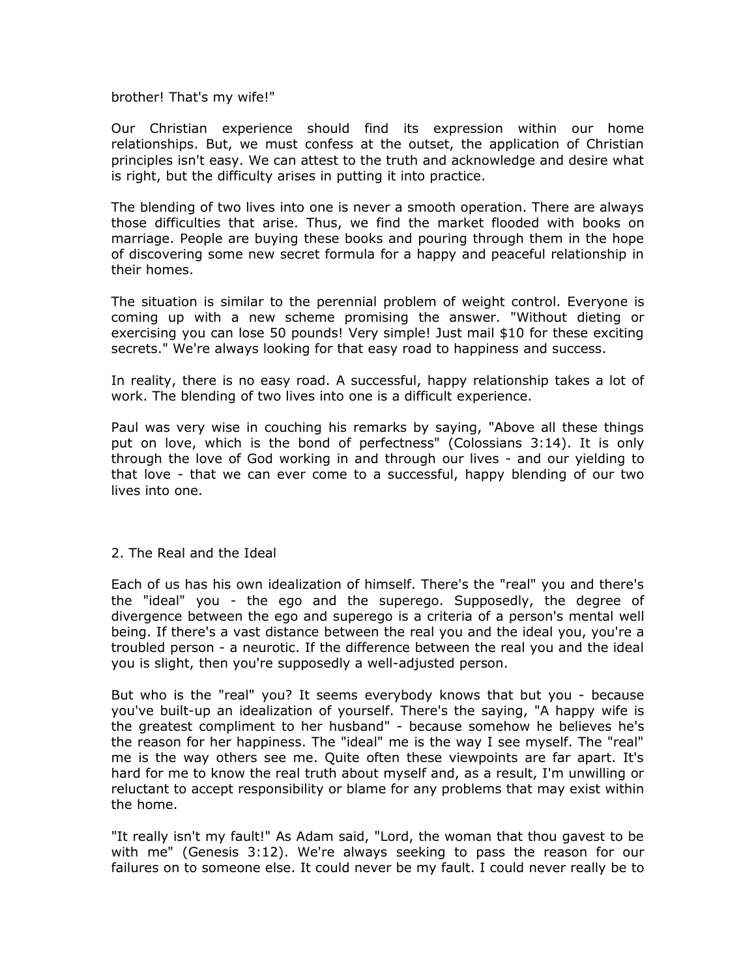brother! That's my wife!"

Our Christian experience should find its expression within our home relationships. But, we must confess at the outset, the application of Christian principles isn't easy. We can attest to the truth and acknowledge and desire what is right, but the difficulty arises in putting it into practice.

The blending of two lives into one is never a smooth operation. There are always those difficulties that arise. Thus, we find the market flooded with books on marriage. People are buying these books and pouring through them in the hope of discovering some new secret formula for a happy and peaceful relationship in their homes.

The situation is similar to the perennial problem of weight control. Everyone is coming up with a new scheme promising the answer. "Without dieting or exercising you can lose 50 pounds! Very simple! Just mail \$10 for these exciting secrets." We're always looking for that easy road to happiness and success.

In reality, there is no easy road. A successful, happy relationship takes a lot of work. The blending of two lives into one is a difficult experience.

Paul was very wise in couching his remarks by saying, "Above all these things put on love, which is the bond of perfectness" (Colossians 3:14). It is only through the love of God working in and through our lives - and our yielding to that love - that we can ever come to a successful, happy blending of our two lives into one.

### 2. The Real and the Ideal

Each of us has his own idealization of himself. There's the "real" you and there's the "ideal" you - the ego and the superego. Supposedly, the degree of divergence between the ego and superego is a criteria of a person's mental well being. If there's a vast distance between the real you and the ideal you, you're a troubled person - a neurotic. If the difference between the real you and the ideal you is slight, then you're supposedly a well-adjusted person.

But who is the "real" you? It seems everybody knows that but you - because you've built-up an idealization of yourself. There's the saying, "A happy wife is the greatest compliment to her husband" - because somehow he believes he's the reason for her happiness. The "ideal" me is the way I see myself. The "real" me is the way others see me. Quite often these viewpoints are far apart. It's hard for me to know the real truth about myself and, as a result, I'm unwilling or reluctant to accept responsibility or blame for any problems that may exist within the home.

"It really isn't my fault!" As Adam said, "Lord, the woman that thou gavest to be with me" (Genesis 3:12). We're always seeking to pass the reason for our failures on to someone else. It could never be my fault. I could never really be to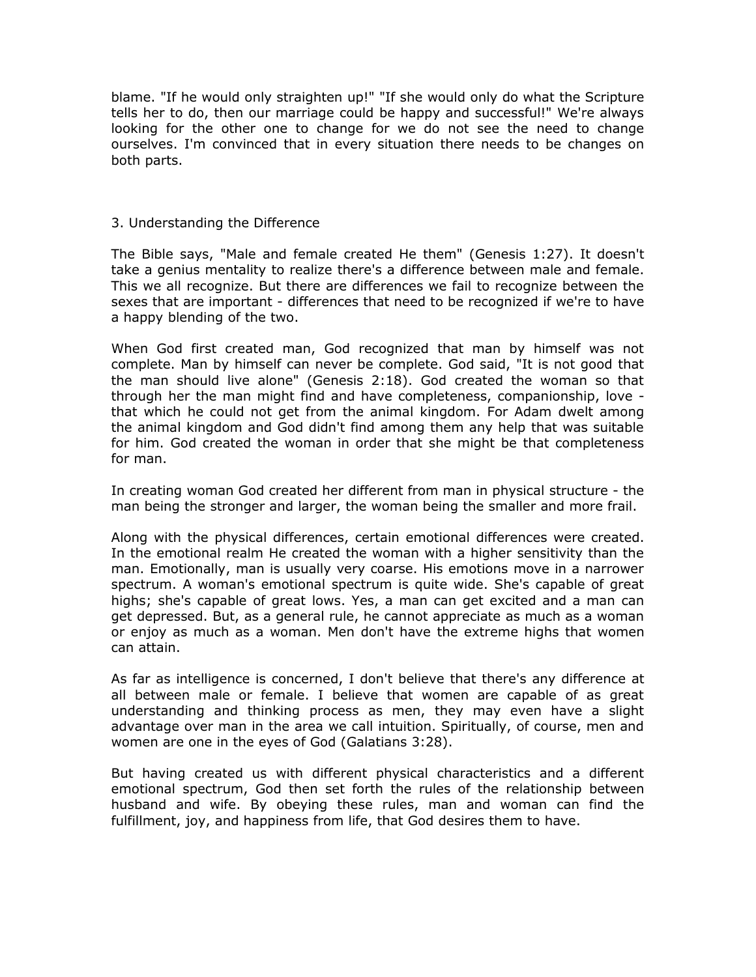blame. "If he would only straighten up!" "If she would only do what the Scripture tells her to do, then our marriage could be happy and successful!" We're always looking for the other one to change for we do not see the need to change ourselves. I'm convinced that in every situation there needs to be changes on both parts.

# 3. Understanding the Difference

The Bible says, "Male and female created He them" (Genesis 1:27). It doesn't take a genius mentality to realize there's a difference between male and female. This we all recognize. But there are differences we fail to recognize between the sexes that are important - differences that need to be recognized if we're to have a happy blending of the two.

When God first created man, God recognized that man by himself was not complete. Man by himself can never be complete. God said, "It is not good that the man should live alone" (Genesis 2:18). God created the woman so that through her the man might find and have completeness, companionship, love that which he could not get from the animal kingdom. For Adam dwelt among the animal kingdom and God didn't find among them any help that was suitable for him. God created the woman in order that she might be that completeness for man.

In creating woman God created her different from man in physical structure - the man being the stronger and larger, the woman being the smaller and more frail.

Along with the physical differences, certain emotional differences were created. In the emotional realm He created the woman with a higher sensitivity than the man. Emotionally, man is usually very coarse. His emotions move in a narrower spectrum. A woman's emotional spectrum is quite wide. She's capable of great highs; she's capable of great lows. Yes, a man can get excited and a man can get depressed. But, as a general rule, he cannot appreciate as much as a woman or enjoy as much as a woman. Men don't have the extreme highs that women can attain.

As far as intelligence is concerned, I don't believe that there's any difference at all between male or female. I believe that women are capable of as great understanding and thinking process as men, they may even have a slight advantage over man in the area we call intuition. Spiritually, of course, men and women are one in the eyes of God (Galatians 3:28).

But having created us with different physical characteristics and a different emotional spectrum, God then set forth the rules of the relationship between husband and wife. By obeying these rules, man and woman can find the fulfillment, joy, and happiness from life, that God desires them to have.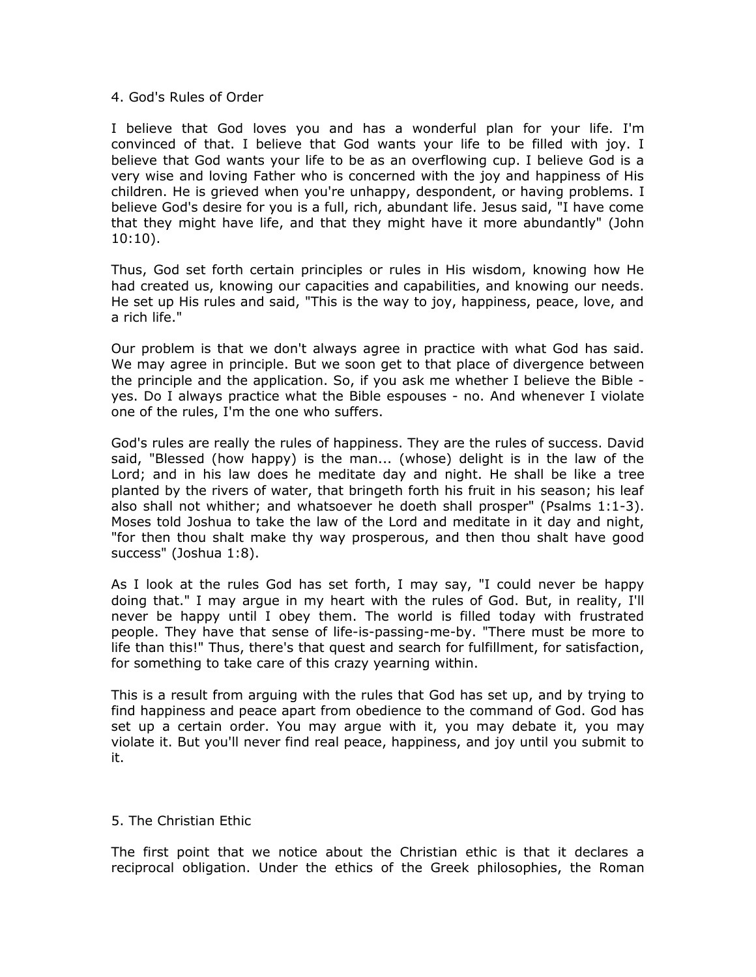#### 4. God's Rules of Order

I believe that God loves you and has a wonderful plan for your life. I'm convinced of that. I believe that God wants your life to be filled with joy. I believe that God wants your life to be as an overflowing cup. I believe God is a very wise and loving Father who is concerned with the joy and happiness of His children. He is grieved when you're unhappy, despondent, or having problems. I believe God's desire for you is a full, rich, abundant life. Jesus said, "I have come that they might have life, and that they might have it more abundantly" (John 10:10).

Thus, God set forth certain principles or rules in His wisdom, knowing how He had created us, knowing our capacities and capabilities, and knowing our needs. He set up His rules and said, "This is the way to joy, happiness, peace, love, and a rich life."

Our problem is that we don't always agree in practice with what God has said. We may agree in principle. But we soon get to that place of divergence between the principle and the application. So, if you ask me whether I believe the Bible yes. Do I always practice what the Bible espouses - no. And whenever I violate one of the rules, I'm the one who suffers.

God's rules are really the rules of happiness. They are the rules of success. David said, "Blessed (how happy) is the man... (whose) delight is in the law of the Lord; and in his law does he meditate day and night. He shall be like a tree planted by the rivers of water, that bringeth forth his fruit in his season; his leaf also shall not whither; and whatsoever he doeth shall prosper" (Psalms 1:1-3). Moses told Joshua to take the law of the Lord and meditate in it day and night, "for then thou shalt make thy way prosperous, and then thou shalt have good success" (Joshua 1:8).

As I look at the rules God has set forth, I may say, "I could never be happy doing that." I may argue in my heart with the rules of God. But, in reality, I'll never be happy until I obey them. The world is filled today with frustrated people. They have that sense of life-is-passing-me-by. "There must be more to life than this!" Thus, there's that quest and search for fulfillment, for satisfaction, for something to take care of this crazy yearning within.

This is a result from arguing with the rules that God has set up, and by trying to find happiness and peace apart from obedience to the command of God. God has set up a certain order. You may argue with it, you may debate it, you may violate it. But you'll never find real peace, happiness, and joy until you submit to it.

# 5. The Christian Ethic

The first point that we notice about the Christian ethic is that it declares a reciprocal obligation. Under the ethics of the Greek philosophies, the Roman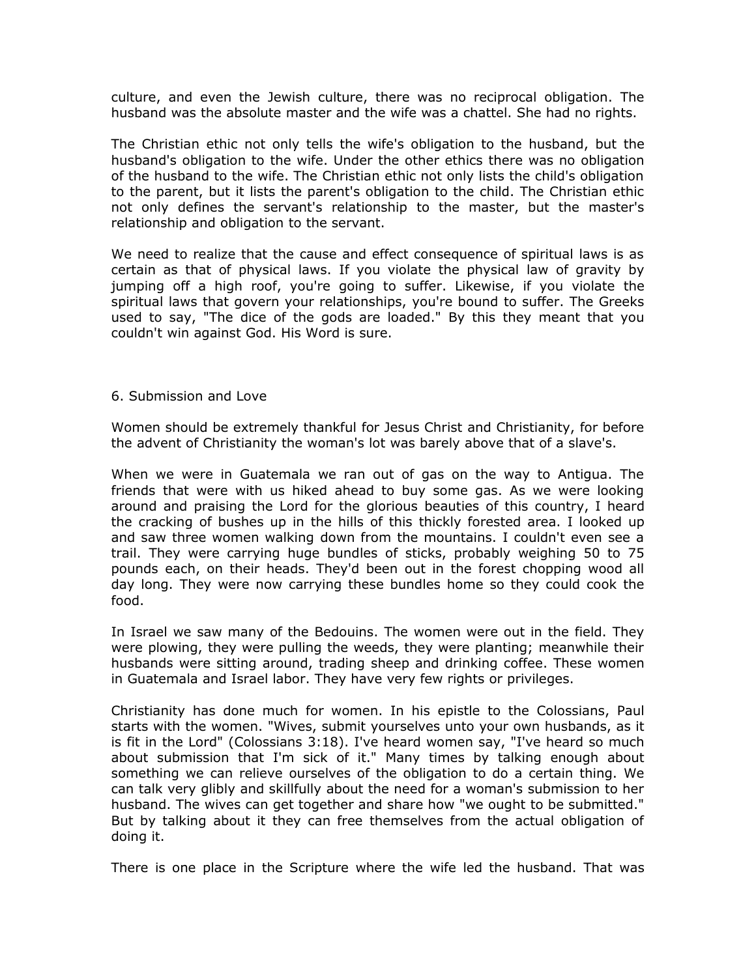culture, and even the Jewish culture, there was no reciprocal obligation. The husband was the absolute master and the wife was a chattel. She had no rights.

The Christian ethic not only tells the wife's obligation to the husband, but the husband's obligation to the wife. Under the other ethics there was no obligation of the husband to the wife. The Christian ethic not only lists the child's obligation to the parent, but it lists the parent's obligation to the child. The Christian ethic not only defines the servant's relationship to the master, but the master's relationship and obligation to the servant.

We need to realize that the cause and effect consequence of spiritual laws is as certain as that of physical laws. If you violate the physical law of gravity by jumping off a high roof, you're going to suffer. Likewise, if you violate the spiritual laws that govern your relationships, you're bound to suffer. The Greeks used to say, "The dice of the gods are loaded." By this they meant that you couldn't win against God. His Word is sure.

### 6. Submission and Love

Women should be extremely thankful for Jesus Christ and Christianity, for before the advent of Christianity the woman's lot was barely above that of a slave's.

When we were in Guatemala we ran out of gas on the way to Antigua. The friends that were with us hiked ahead to buy some gas. As we were looking around and praising the Lord for the glorious beauties of this country, I heard the cracking of bushes up in the hills of this thickly forested area. I looked up and saw three women walking down from the mountains. I couldn't even see a trail. They were carrying huge bundles of sticks, probably weighing 50 to 75 pounds each, on their heads. They'd been out in the forest chopping wood all day long. They were now carrying these bundles home so they could cook the food.

In Israel we saw many of the Bedouins. The women were out in the field. They were plowing, they were pulling the weeds, they were planting; meanwhile their husbands were sitting around, trading sheep and drinking coffee. These women in Guatemala and Israel labor. They have very few rights or privileges.

Christianity has done much for women. In his epistle to the Colossians, Paul starts with the women. "Wives, submit yourselves unto your own husbands, as it is fit in the Lord" (Colossians 3:18). I've heard women say, "I've heard so much about submission that I'm sick of it." Many times by talking enough about something we can relieve ourselves of the obligation to do a certain thing. We can talk very glibly and skillfully about the need for a woman's submission to her husband. The wives can get together and share how "we ought to be submitted." But by talking about it they can free themselves from the actual obligation of doing it.

There is one place in the Scripture where the wife led the husband. That was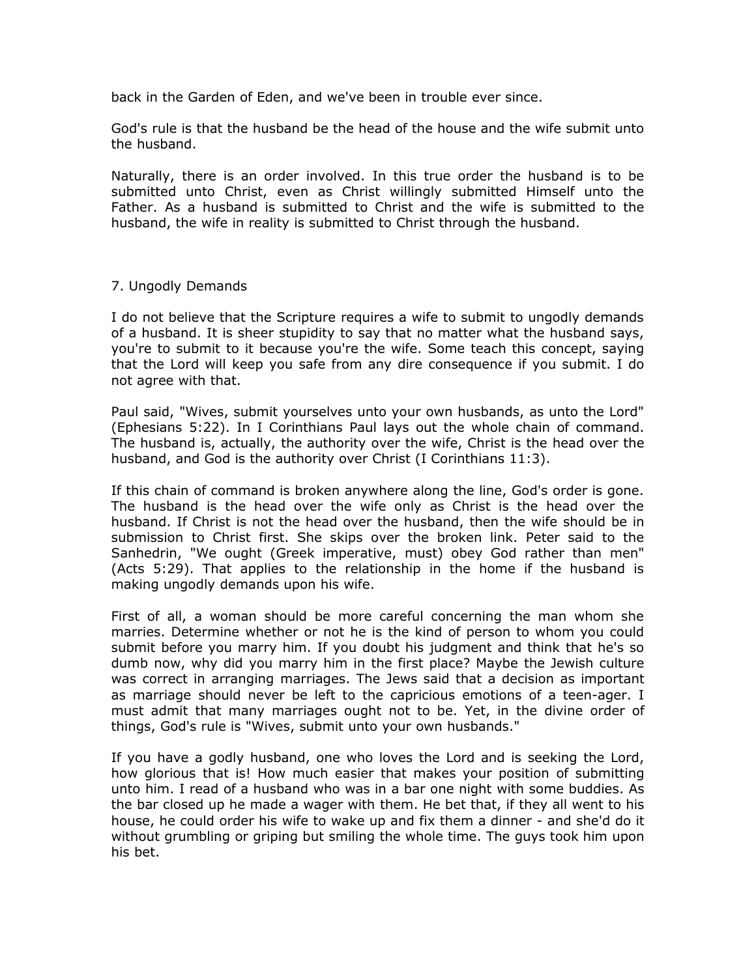back in the Garden of Eden, and we've been in trouble ever since.

God's rule is that the husband be the head of the house and the wife submit unto the husband.

Naturally, there is an order involved. In this true order the husband is to be submitted unto Christ, even as Christ willingly submitted Himself unto the Father. As a husband is submitted to Christ and the wife is submitted to the husband, the wife in reality is submitted to Christ through the husband.

### 7. Ungodly Demands

I do not believe that the Scripture requires a wife to submit to ungodly demands of a husband. It is sheer stupidity to say that no matter what the husband says, you're to submit to it because you're the wife. Some teach this concept, saying that the Lord will keep you safe from any dire consequence if you submit. I do not agree with that.

Paul said, "Wives, submit yourselves unto your own husbands, as unto the Lord" (Ephesians 5:22). In I Corinthians Paul lays out the whole chain of command. The husband is, actually, the authority over the wife, Christ is the head over the husband, and God is the authority over Christ (I Corinthians 11:3).

If this chain of command is broken anywhere along the line, God's order is gone. The husband is the head over the wife only as Christ is the head over the husband. If Christ is not the head over the husband, then the wife should be in submission to Christ first. She skips over the broken link. Peter said to the Sanhedrin, "We ought (Greek imperative, must) obey God rather than men" (Acts 5:29). That applies to the relationship in the home if the husband is making ungodly demands upon his wife.

First of all, a woman should be more careful concerning the man whom she marries. Determine whether or not he is the kind of person to whom you could submit before you marry him. If you doubt his judgment and think that he's so dumb now, why did you marry him in the first place? Maybe the Jewish culture was correct in arranging marriages. The Jews said that a decision as important as marriage should never be left to the capricious emotions of a teen-ager. I must admit that many marriages ought not to be. Yet, in the divine order of things, God's rule is "Wives, submit unto your own husbands."

If you have a godly husband, one who loves the Lord and is seeking the Lord, how glorious that is! How much easier that makes your position of submitting unto him. I read of a husband who was in a bar one night with some buddies. As the bar closed up he made a wager with them. He bet that, if they all went to his house, he could order his wife to wake up and fix them a dinner - and she'd do it without grumbling or griping but smiling the whole time. The guys took him upon his bet.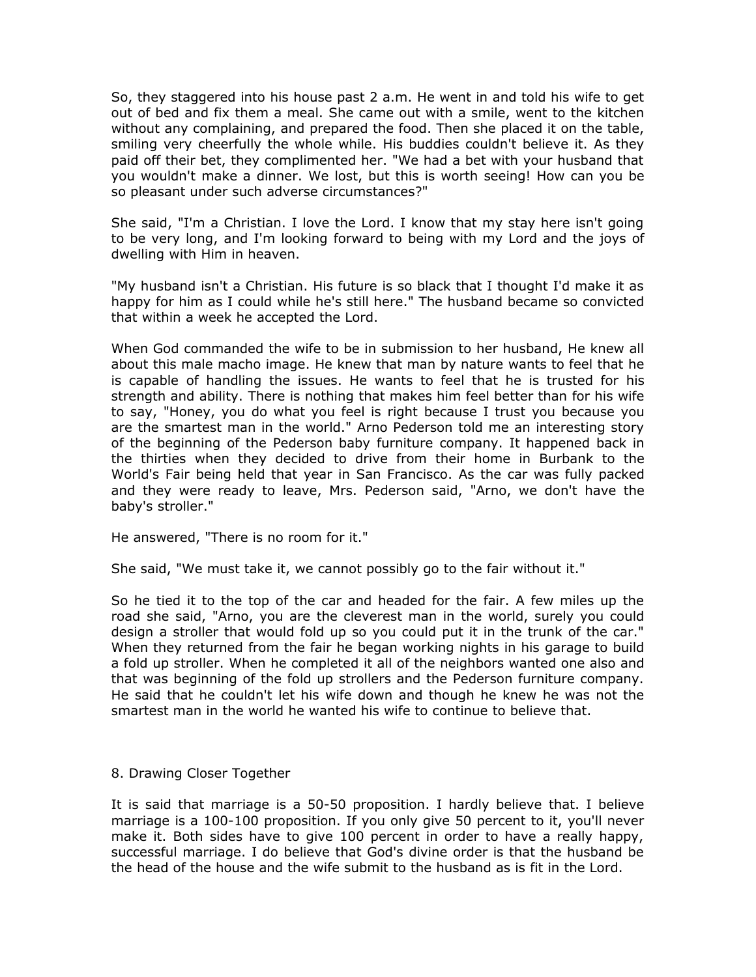So, they staggered into his house past 2 a.m. He went in and told his wife to get out of bed and fix them a meal. She came out with a smile, went to the kitchen without any complaining, and prepared the food. Then she placed it on the table, smiling very cheerfully the whole while. His buddies couldn't believe it. As they paid off their bet, they complimented her. "We had a bet with your husband that you wouldn't make a dinner. We lost, but this is worth seeing! How can you be so pleasant under such adverse circumstances?"

She said, "I'm a Christian. I love the Lord. I know that my stay here isn't going to be very long, and I'm looking forward to being with my Lord and the joys of dwelling with Him in heaven.

"My husband isn't a Christian. His future is so black that I thought I'd make it as happy for him as I could while he's still here." The husband became so convicted that within a week he accepted the Lord.

When God commanded the wife to be in submission to her husband, He knew all about this male macho image. He knew that man by nature wants to feel that he is capable of handling the issues. He wants to feel that he is trusted for his strength and ability. There is nothing that makes him feel better than for his wife to say, "Honey, you do what you feel is right because I trust you because you are the smartest man in the world." Arno Pederson told me an interesting story of the beginning of the Pederson baby furniture company. It happened back in the thirties when they decided to drive from their home in Burbank to the World's Fair being held that year in San Francisco. As the car was fully packed and they were ready to leave, Mrs. Pederson said, "Arno, we don't have the baby's stroller."

He answered, "There is no room for it."

She said, "We must take it, we cannot possibly go to the fair without it."

So he tied it to the top of the car and headed for the fair. A few miles up the road she said, "Arno, you are the cleverest man in the world, surely you could design a stroller that would fold up so you could put it in the trunk of the car." When they returned from the fair he began working nights in his garage to build a fold up stroller. When he completed it all of the neighbors wanted one also and that was beginning of the fold up strollers and the Pederson furniture company. He said that he couldn't let his wife down and though he knew he was not the smartest man in the world he wanted his wife to continue to believe that.

### 8. Drawing Closer Together

It is said that marriage is a 50-50 proposition. I hardly believe that. I believe marriage is a 100-100 proposition. If you only give 50 percent to it, you'll never make it. Both sides have to give 100 percent in order to have a really happy, successful marriage. I do believe that God's divine order is that the husband be the head of the house and the wife submit to the husband as is fit in the Lord.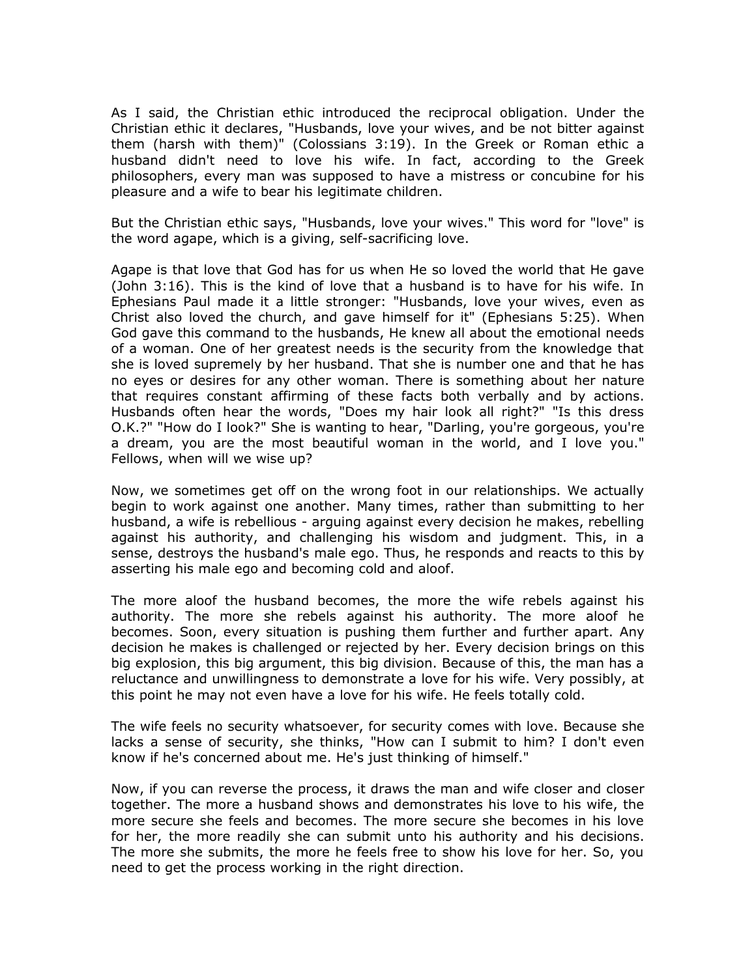As I said, the Christian ethic introduced the reciprocal obligation. Under the Christian ethic it declares, "Husbands, love your wives, and be not bitter against them (harsh with them)" (Colossians 3:19). In the Greek or Roman ethic a husband didn't need to love his wife. In fact, according to the Greek philosophers, every man was supposed to have a mistress or concubine for his pleasure and a wife to bear his legitimate children.

But the Christian ethic says, "Husbands, love your wives." This word for "love" is the word agape, which is a giving, self-sacrificing love.

Agape is that love that God has for us when He so loved the world that He gave (John 3:16). This is the kind of love that a husband is to have for his wife. In Ephesians Paul made it a little stronger: "Husbands, love your wives, even as Christ also loved the church, and gave himself for it" (Ephesians 5:25). When God gave this command to the husbands, He knew all about the emotional needs of a woman. One of her greatest needs is the security from the knowledge that she is loved supremely by her husband. That she is number one and that he has no eyes or desires for any other woman. There is something about her nature that requires constant affirming of these facts both verbally and by actions. Husbands often hear the words, "Does my hair look all right?" "Is this dress O.K.?" "How do I look?" She is wanting to hear, "Darling, you're gorgeous, you're a dream, you are the most beautiful woman in the world, and I love you." Fellows, when will we wise up?

Now, we sometimes get off on the wrong foot in our relationships. We actually begin to work against one another. Many times, rather than submitting to her husband, a wife is rebellious - arguing against every decision he makes, rebelling against his authority, and challenging his wisdom and judgment. This, in a sense, destroys the husband's male ego. Thus, he responds and reacts to this by asserting his male ego and becoming cold and aloof.

The more aloof the husband becomes, the more the wife rebels against his authority. The more she rebels against his authority. The more aloof he becomes. Soon, every situation is pushing them further and further apart. Any decision he makes is challenged or rejected by her. Every decision brings on this big explosion, this big argument, this big division. Because of this, the man has a reluctance and unwillingness to demonstrate a love for his wife. Very possibly, at this point he may not even have a love for his wife. He feels totally cold.

The wife feels no security whatsoever, for security comes with love. Because she lacks a sense of security, she thinks, "How can I submit to him? I don't even know if he's concerned about me. He's just thinking of himself."

Now, if you can reverse the process, it draws the man and wife closer and closer together. The more a husband shows and demonstrates his love to his wife, the more secure she feels and becomes. The more secure she becomes in his love for her, the more readily she can submit unto his authority and his decisions. The more she submits, the more he feels free to show his love for her. So, you need to get the process working in the right direction.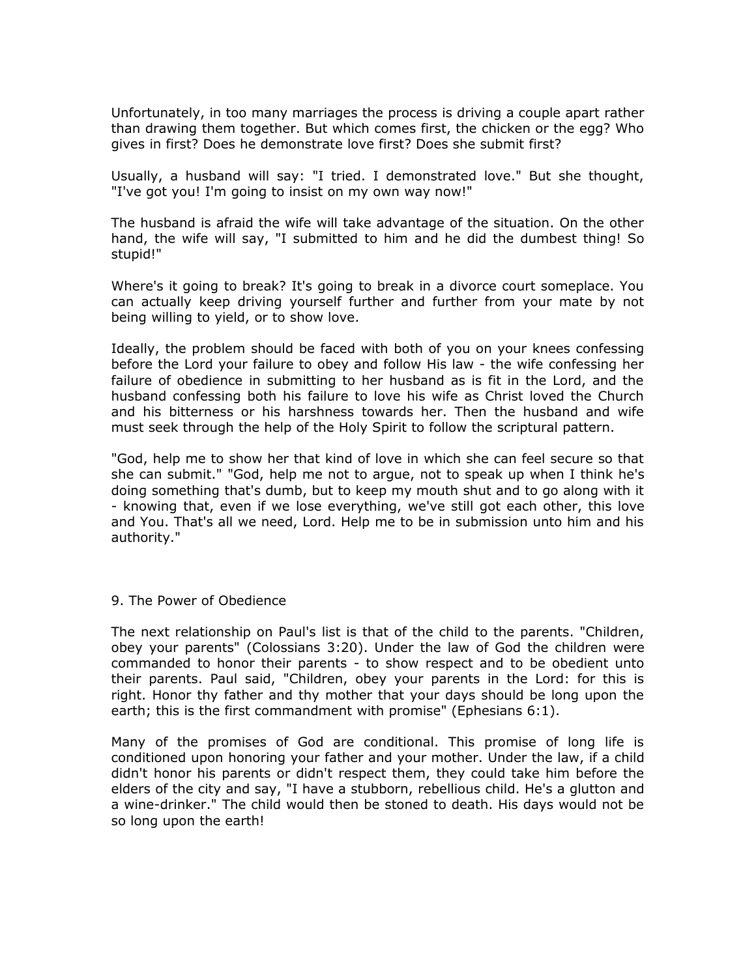Unfortunately, in too many marriages the process is driving a couple apart rather than drawing them together. But which comes first, the chicken or the egg? Who gives in first? Does he demonstrate love first? Does she submit first?

Usually, a husband will say: "I tried. I demonstrated love." But she thought, "I've got you! I'm going to insist on my own way now!"

The husband is afraid the wife will take advantage of the situation. On the other hand, the wife will say, "I submitted to him and he did the dumbest thing! So stupid!"

Where's it going to break? It's going to break in a divorce court someplace. You can actually keep driving yourself further and further from your mate by not being willing to yield, or to show love.

Ideally, the problem should be faced with both of you on your knees confessing before the Lord your failure to obey and follow His law - the wife confessing her failure of obedience in submitting to her husband as is fit in the Lord, and the husband confessing both his failure to love his wife as Christ loved the Church and his bitterness or his harshness towards her. Then the husband and wife must seek through the help of the Holy Spirit to follow the scriptural pattern.

"God, help me to show her that kind of love in which she can feel secure so that she can submit." "God, help me not to argue, not to speak up when I think he's doing something that's dumb, but to keep my mouth shut and to go along with it - knowing that, even if we lose everything, we've still got each other, this love and You. That's all we need, Lord. Help me to be in submission unto him and his authority."

### 9. The Power of Obedience

The next relationship on Paul's list is that of the child to the parents. "Children, obey your parents" (Colossians 3:20). Under the law of God the children were commanded to honor their parents - to show respect and to be obedient unto their parents. Paul said, "Children, obey your parents in the Lord: for this is right. Honor thy father and thy mother that your days should be long upon the earth; this is the first commandment with promise" (Ephesians 6:1).

Many of the promises of God are conditional. This promise of long life is conditioned upon honoring your father and your mother. Under the law, if a child didn't honor his parents or didn't respect them, they could take him before the elders of the city and say, "I have a stubborn, rebellious child. He's a glutton and a wine-drinker." The child would then be stoned to death. His days would not be so long upon the earth!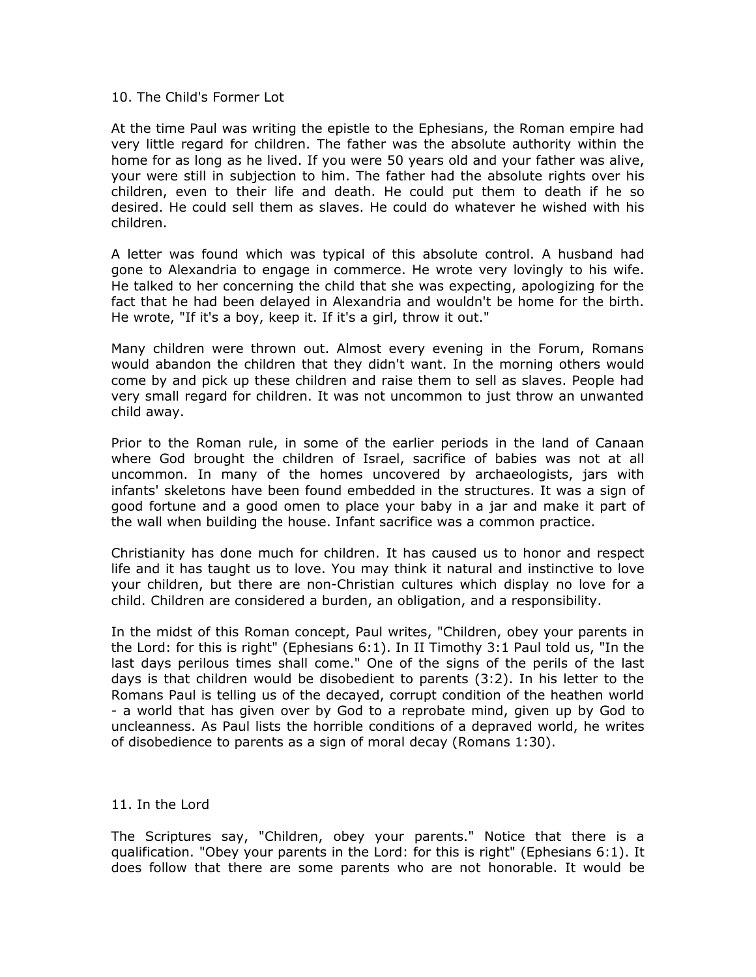#### 10. The Child's Former Lot

At the time Paul was writing the epistle to the Ephesians, the Roman empire had very little regard for children. The father was the absolute authority within the home for as long as he lived. If you were 50 years old and your father was alive, your were still in subjection to him. The father had the absolute rights over his children, even to their life and death. He could put them to death if he so desired. He could sell them as slaves. He could do whatever he wished with his children.

A letter was found which was typical of this absolute control. A husband had gone to Alexandria to engage in commerce. He wrote very lovingly to his wife. He talked to her concerning the child that she was expecting, apologizing for the fact that he had been delayed in Alexandria and wouldn't be home for the birth. He wrote, "If it's a boy, keep it. If it's a girl, throw it out."

Many children were thrown out. Almost every evening in the Forum, Romans would abandon the children that they didn't want. In the morning others would come by and pick up these children and raise them to sell as slaves. People had very small regard for children. It was not uncommon to just throw an unwanted child away.

Prior to the Roman rule, in some of the earlier periods in the land of Canaan where God brought the children of Israel, sacrifice of babies was not at all uncommon. In many of the homes uncovered by archaeologists, jars with infants' skeletons have been found embedded in the structures. It was a sign of good fortune and a good omen to place your baby in a jar and make it part of the wall when building the house. Infant sacrifice was a common practice.

Christianity has done much for children. It has caused us to honor and respect life and it has taught us to love. You may think it natural and instinctive to love your children, but there are non-Christian cultures which display no love for a child. Children are considered a burden, an obligation, and a responsibility.

In the midst of this Roman concept, Paul writes, "Children, obey your parents in the Lord: for this is right" (Ephesians 6:1). In II Timothy 3:1 Paul told us, "In the last days perilous times shall come." One of the signs of the perils of the last days is that children would be disobedient to parents (3:2). In his letter to the Romans Paul is telling us of the decayed, corrupt condition of the heathen world - a world that has given over by God to a reprobate mind, given up by God to uncleanness. As Paul lists the horrible conditions of a depraved world, he writes of disobedience to parents as a sign of moral decay (Romans 1:30).

### 11. In the Lord

The Scriptures say, "Children, obey your parents." Notice that there is a qualification. "Obey your parents in the Lord: for this is right" (Ephesians 6:1). It does follow that there are some parents who are not honorable. It would be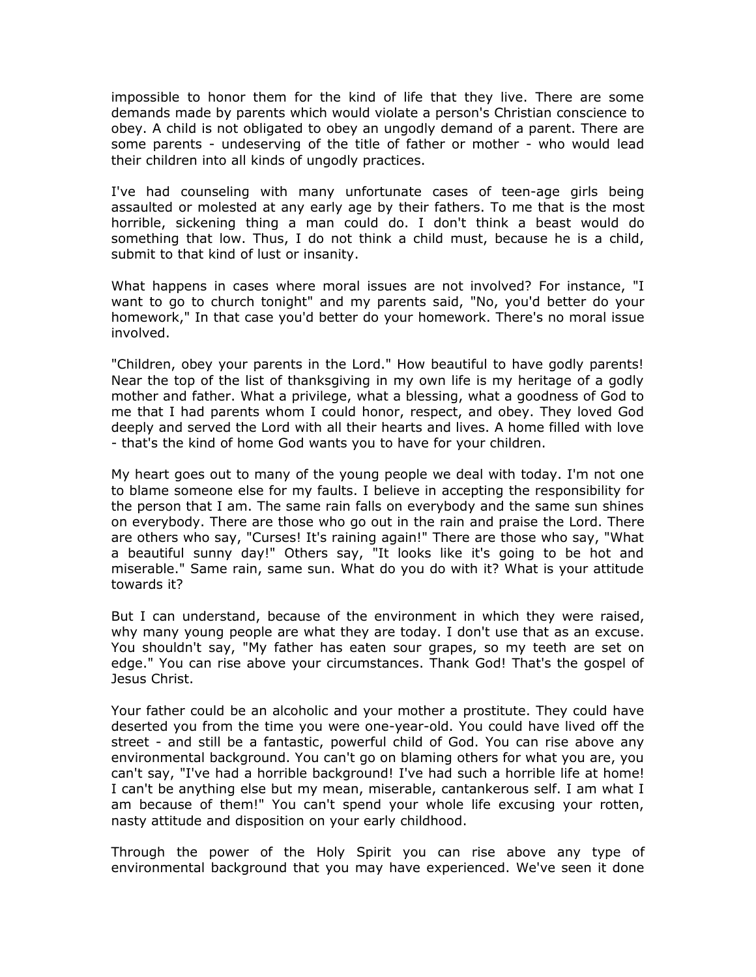impossible to honor them for the kind of life that they live. There are some demands made by parents which would violate a person's Christian conscience to obey. A child is not obligated to obey an ungodly demand of a parent. There are some parents - undeserving of the title of father or mother - who would lead their children into all kinds of ungodly practices.

I've had counseling with many unfortunate cases of teen-age girls being assaulted or molested at any early age by their fathers. To me that is the most horrible, sickening thing a man could do. I don't think a beast would do something that low. Thus, I do not think a child must, because he is a child, submit to that kind of lust or insanity.

What happens in cases where moral issues are not involved? For instance, "I want to go to church tonight" and my parents said, "No, you'd better do your homework," In that case you'd better do your homework. There's no moral issue involved.

"Children, obey your parents in the Lord." How beautiful to have godly parents! Near the top of the list of thanksgiving in my own life is my heritage of a godly mother and father. What a privilege, what a blessing, what a goodness of God to me that I had parents whom I could honor, respect, and obey. They loved God deeply and served the Lord with all their hearts and lives. A home filled with love - that's the kind of home God wants you to have for your children.

My heart goes out to many of the young people we deal with today. I'm not one to blame someone else for my faults. I believe in accepting the responsibility for the person that I am. The same rain falls on everybody and the same sun shines on everybody. There are those who go out in the rain and praise the Lord. There are others who say, "Curses! It's raining again!" There are those who say, "What a beautiful sunny day!" Others say, "It looks like it's going to be hot and miserable." Same rain, same sun. What do you do with it? What is your attitude towards it?

But I can understand, because of the environment in which they were raised, why many young people are what they are today. I don't use that as an excuse. You shouldn't say, "My father has eaten sour grapes, so my teeth are set on edge." You can rise above your circumstances. Thank God! That's the gospel of Jesus Christ.

Your father could be an alcoholic and your mother a prostitute. They could have deserted you from the time you were one-year-old. You could have lived off the street - and still be a fantastic, powerful child of God. You can rise above any environmental background. You can't go on blaming others for what you are, you can't say, "I've had a horrible background! I've had such a horrible life at home! I can't be anything else but my mean, miserable, cantankerous self. I am what I am because of them!" You can't spend your whole life excusing your rotten, nasty attitude and disposition on your early childhood.

Through the power of the Holy Spirit you can rise above any type of environmental background that you may have experienced. We've seen it done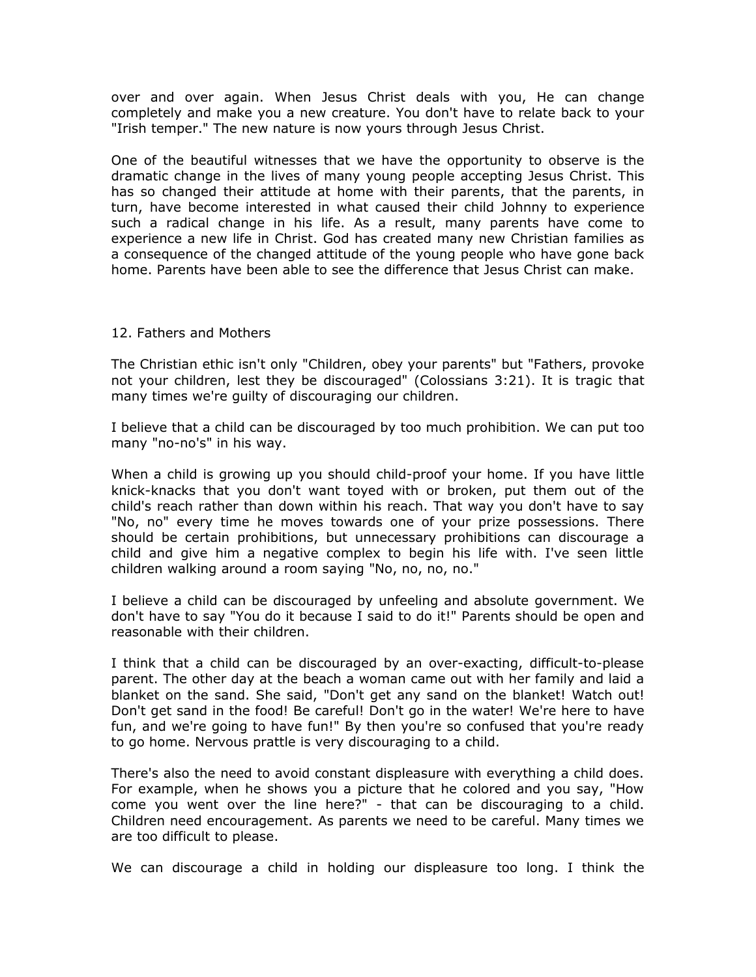over and over again. When Jesus Christ deals with you, He can change completely and make you a new creature. You don't have to relate back to your "Irish temper." The new nature is now yours through Jesus Christ.

One of the beautiful witnesses that we have the opportunity to observe is the dramatic change in the lives of many young people accepting Jesus Christ. This has so changed their attitude at home with their parents, that the parents, in turn, have become interested in what caused their child Johnny to experience such a radical change in his life. As a result, many parents have come to experience a new life in Christ. God has created many new Christian families as a consequence of the changed attitude of the young people who have gone back home. Parents have been able to see the difference that Jesus Christ can make.

### 12. Fathers and Mothers

The Christian ethic isn't only "Children, obey your parents" but "Fathers, provoke not your children, lest they be discouraged" (Colossians 3:21). It is tragic that many times we're guilty of discouraging our children.

I believe that a child can be discouraged by too much prohibition. We can put too many "no-no's" in his way.

When a child is growing up you should child-proof your home. If you have little knick-knacks that you don't want toyed with or broken, put them out of the child's reach rather than down within his reach. That way you don't have to say "No, no" every time he moves towards one of your prize possessions. There should be certain prohibitions, but unnecessary prohibitions can discourage a child and give him a negative complex to begin his life with. I've seen little children walking around a room saying "No, no, no, no."

I believe a child can be discouraged by unfeeling and absolute government. We don't have to say "You do it because I said to do it!" Parents should be open and reasonable with their children.

I think that a child can be discouraged by an over-exacting, difficult-to-please parent. The other day at the beach a woman came out with her family and laid a blanket on the sand. She said, "Don't get any sand on the blanket! Watch out! Don't get sand in the food! Be careful! Don't go in the water! We're here to have fun, and we're going to have fun!" By then you're so confused that you're ready to go home. Nervous prattle is very discouraging to a child.

There's also the need to avoid constant displeasure with everything a child does. For example, when he shows you a picture that he colored and you say, "How come you went over the line here?" - that can be discouraging to a child. Children need encouragement. As parents we need to be careful. Many times we are too difficult to please.

We can discourage a child in holding our displeasure too long. I think the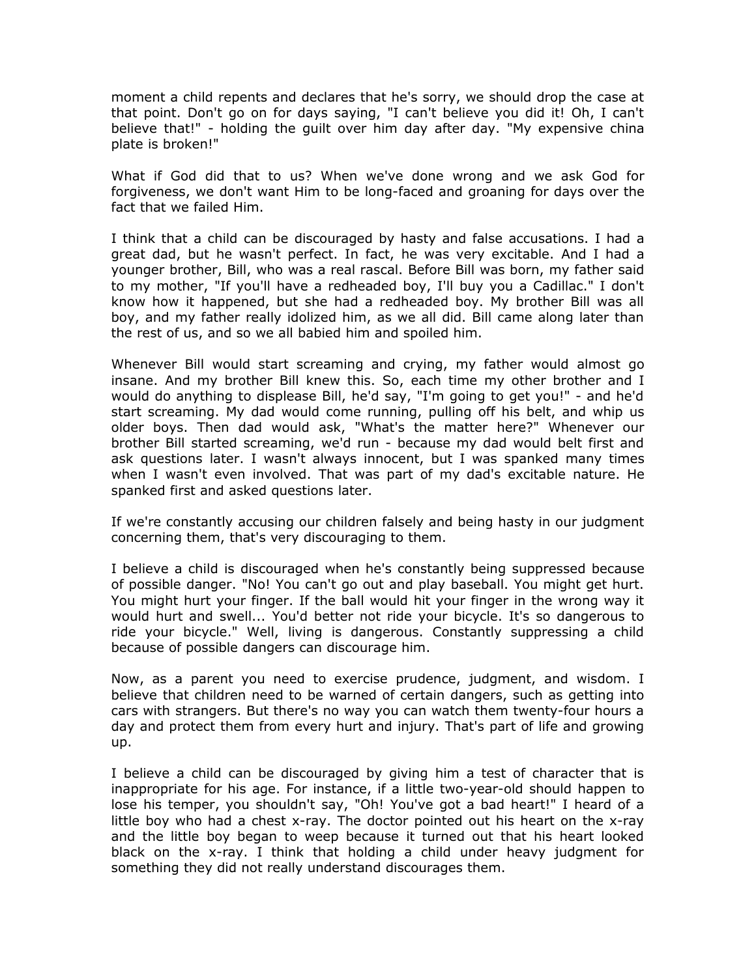moment a child repents and declares that he's sorry, we should drop the case at that point. Don't go on for days saying, "I can't believe you did it! Oh, I can't believe that!" - holding the guilt over him day after day. "My expensive china plate is broken!"

What if God did that to us? When we've done wrong and we ask God for forgiveness, we don't want Him to be long-faced and groaning for days over the fact that we failed Him.

I think that a child can be discouraged by hasty and false accusations. I had a great dad, but he wasn't perfect. In fact, he was very excitable. And I had a younger brother, Bill, who was a real rascal. Before Bill was born, my father said to my mother, "If you'll have a redheaded boy, I'll buy you a Cadillac." I don't know how it happened, but she had a redheaded boy. My brother Bill was all boy, and my father really idolized him, as we all did. Bill came along later than the rest of us, and so we all babied him and spoiled him.

Whenever Bill would start screaming and crying, my father would almost go insane. And my brother Bill knew this. So, each time my other brother and I would do anything to displease Bill, he'd say, "I'm going to get you!" - and he'd start screaming. My dad would come running, pulling off his belt, and whip us older boys. Then dad would ask, "What's the matter here?" Whenever our brother Bill started screaming, we'd run - because my dad would belt first and ask questions later. I wasn't always innocent, but I was spanked many times when I wasn't even involved. That was part of my dad's excitable nature. He spanked first and asked questions later.

If we're constantly accusing our children falsely and being hasty in our judgment concerning them, that's very discouraging to them.

I believe a child is discouraged when he's constantly being suppressed because of possible danger. "No! You can't go out and play baseball. You might get hurt. You might hurt your finger. If the ball would hit your finger in the wrong way it would hurt and swell... You'd better not ride your bicycle. It's so dangerous to ride your bicycle." Well, living is dangerous. Constantly suppressing a child because of possible dangers can discourage him.

Now, as a parent you need to exercise prudence, judgment, and wisdom. I believe that children need to be warned of certain dangers, such as getting into cars with strangers. But there's no way you can watch them twenty-four hours a day and protect them from every hurt and injury. That's part of life and growing up.

I believe a child can be discouraged by giving him a test of character that is inappropriate for his age. For instance, if a little two-year-old should happen to lose his temper, you shouldn't say, "Oh! You've got a bad heart!" I heard of a little boy who had a chest x-ray. The doctor pointed out his heart on the x-ray and the little boy began to weep because it turned out that his heart looked black on the x-ray. I think that holding a child under heavy judgment for something they did not really understand discourages them.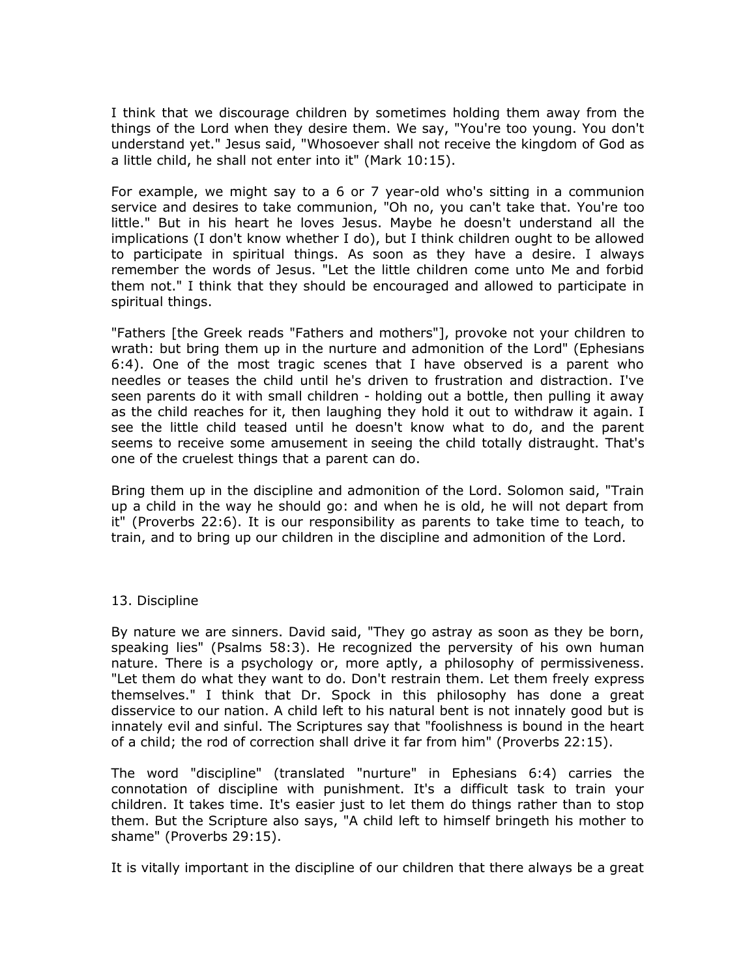I think that we discourage children by sometimes holding them away from the things of the Lord when they desire them. We say, "You're too young. You don't understand yet." Jesus said, "Whosoever shall not receive the kingdom of God as a little child, he shall not enter into it" (Mark 10:15).

For example, we might say to a 6 or 7 year-old who's sitting in a communion service and desires to take communion, "Oh no, you can't take that. You're too little." But in his heart he loves Jesus. Maybe he doesn't understand all the implications (I don't know whether I do), but I think children ought to be allowed to participate in spiritual things. As soon as they have a desire. I always remember the words of Jesus. "Let the little children come unto Me and forbid them not." I think that they should be encouraged and allowed to participate in spiritual things.

"Fathers [the Greek reads "Fathers and mothers"], provoke not your children to wrath: but bring them up in the nurture and admonition of the Lord" (Ephesians 6:4). One of the most tragic scenes that I have observed is a parent who needles or teases the child until he's driven to frustration and distraction. I've seen parents do it with small children - holding out a bottle, then pulling it away as the child reaches for it, then laughing they hold it out to withdraw it again. I see the little child teased until he doesn't know what to do, and the parent seems to receive some amusement in seeing the child totally distraught. That's one of the cruelest things that a parent can do.

Bring them up in the discipline and admonition of the Lord. Solomon said, "Train up a child in the way he should go: and when he is old, he will not depart from it" (Proverbs 22:6). It is our responsibility as parents to take time to teach, to train, and to bring up our children in the discipline and admonition of the Lord.

### 13. Discipline

By nature we are sinners. David said, "They go astray as soon as they be born, speaking lies" (Psalms 58:3). He recognized the perversity of his own human nature. There is a psychology or, more aptly, a philosophy of permissiveness. "Let them do what they want to do. Don't restrain them. Let them freely express themselves." I think that Dr. Spock in this philosophy has done a great disservice to our nation. A child left to his natural bent is not innately good but is innately evil and sinful. The Scriptures say that "foolishness is bound in the heart of a child; the rod of correction shall drive it far from him" (Proverbs 22:15).

The word "discipline" (translated "nurture" in Ephesians 6:4) carries the connotation of discipline with punishment. It's a difficult task to train your children. It takes time. It's easier just to let them do things rather than to stop them. But the Scripture also says, "A child left to himself bringeth his mother to shame" (Proverbs 29:15).

It is vitally important in the discipline of our children that there always be a great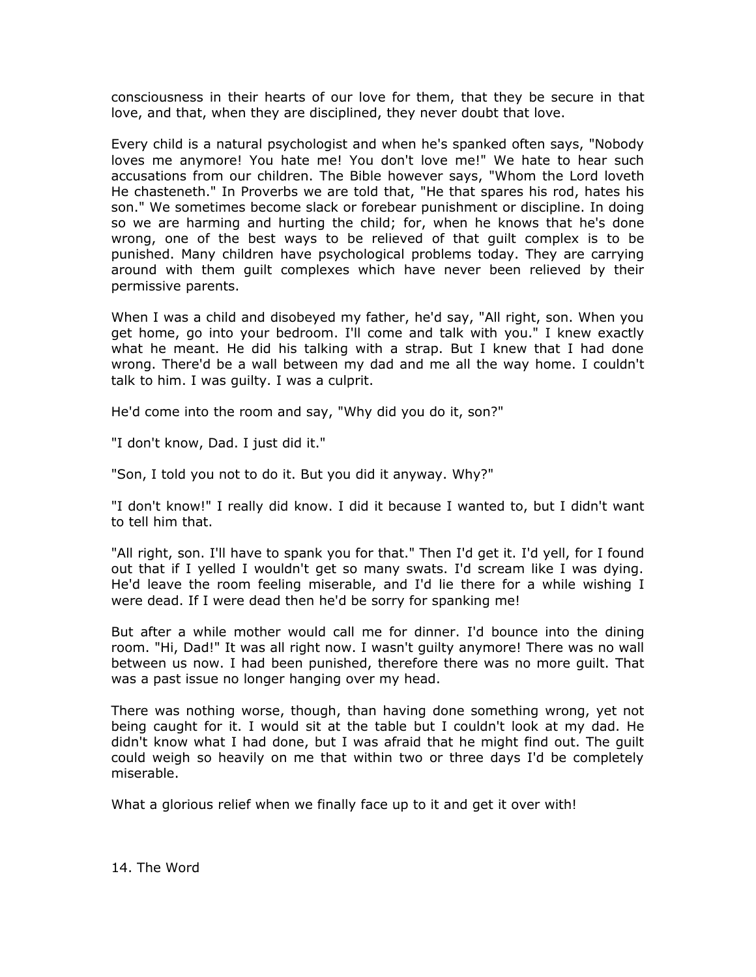consciousness in their hearts of our love for them, that they be secure in that love, and that, when they are disciplined, they never doubt that love.

Every child is a natural psychologist and when he's spanked often says, "Nobody loves me anymore! You hate me! You don't love me!" We hate to hear such accusations from our children. The Bible however says, "Whom the Lord loveth He chasteneth." In Proverbs we are told that, "He that spares his rod, hates his son." We sometimes become slack or forebear punishment or discipline. In doing so we are harming and hurting the child; for, when he knows that he's done wrong, one of the best ways to be relieved of that guilt complex is to be punished. Many children have psychological problems today. They are carrying around with them guilt complexes which have never been relieved by their permissive parents.

When I was a child and disobeyed my father, he'd say, "All right, son. When you get home, go into your bedroom. I'll come and talk with you." I knew exactly what he meant. He did his talking with a strap. But I knew that I had done wrong. There'd be a wall between my dad and me all the way home. I couldn't talk to him. I was guilty. I was a culprit.

He'd come into the room and say, "Why did you do it, son?"

"I don't know, Dad. I just did it."

"Son, I told you not to do it. But you did it anyway. Why?"

"I don't know!" I really did know. I did it because I wanted to, but I didn't want to tell him that.

"All right, son. I'll have to spank you for that." Then I'd get it. I'd yell, for I found out that if I yelled I wouldn't get so many swats. I'd scream like I was dying. He'd leave the room feeling miserable, and I'd lie there for a while wishing I were dead. If I were dead then he'd be sorry for spanking me!

But after a while mother would call me for dinner. I'd bounce into the dining room. "Hi, Dad!" It was all right now. I wasn't guilty anymore! There was no wall between us now. I had been punished, therefore there was no more guilt. That was a past issue no longer hanging over my head.

There was nothing worse, though, than having done something wrong, yet not being caught for it. I would sit at the table but I couldn't look at my dad. He didn't know what I had done, but I was afraid that he might find out. The guilt could weigh so heavily on me that within two or three days I'd be completely miserable.

What a glorious relief when we finally face up to it and get it over with!

14. The Word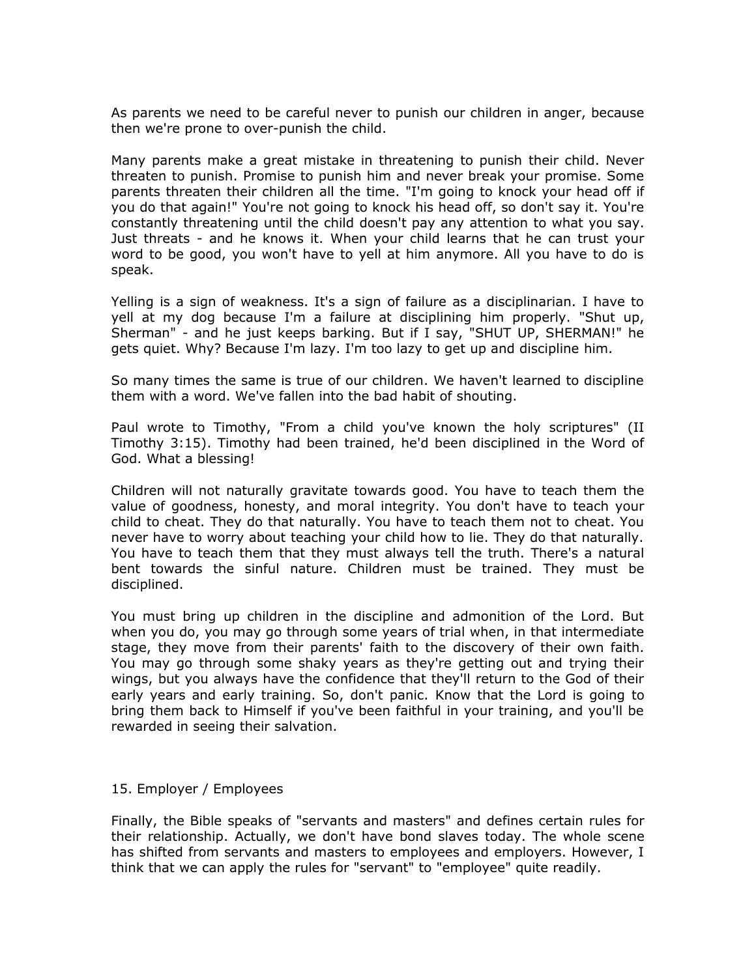As parents we need to be careful never to punish our children in anger, because then we're prone to over-punish the child.

Many parents make a great mistake in threatening to punish their child. Never threaten to punish. Promise to punish him and never break your promise. Some parents threaten their children all the time. "I'm going to knock your head off if you do that again!" You're not going to knock his head off, so don't say it. You're constantly threatening until the child doesn't pay any attention to what you say. Just threats - and he knows it. When your child learns that he can trust your word to be good, you won't have to yell at him anymore. All you have to do is speak.

Yelling is a sign of weakness. It's a sign of failure as a disciplinarian. I have to yell at my dog because I'm a failure at disciplining him properly. "Shut up, Sherman" - and he just keeps barking. But if I say, "SHUT UP, SHERMAN!" he gets quiet. Why? Because I'm lazy. I'm too lazy to get up and discipline him.

So many times the same is true of our children. We haven't learned to discipline them with a word. We've fallen into the bad habit of shouting.

Paul wrote to Timothy, "From a child you've known the holy scriptures" (II Timothy 3:15). Timothy had been trained, he'd been disciplined in the Word of God. What a blessing!

Children will not naturally gravitate towards good. You have to teach them the value of goodness, honesty, and moral integrity. You don't have to teach your child to cheat. They do that naturally. You have to teach them not to cheat. You never have to worry about teaching your child how to lie. They do that naturally. You have to teach them that they must always tell the truth. There's a natural bent towards the sinful nature. Children must be trained. They must be disciplined.

You must bring up children in the discipline and admonition of the Lord. But when you do, you may go through some years of trial when, in that intermediate stage, they move from their parents' faith to the discovery of their own faith. You may go through some shaky years as they're getting out and trying their wings, but you always have the confidence that they'll return to the God of their early years and early training. So, don't panic. Know that the Lord is going to bring them back to Himself if you've been faithful in your training, and you'll be rewarded in seeing their salvation.

#### 15. Employer / Employees

Finally, the Bible speaks of "servants and masters" and defines certain rules for their relationship. Actually, we don't have bond slaves today. The whole scene has shifted from servants and masters to employees and employers. However, I think that we can apply the rules for "servant" to "employee" quite readily.